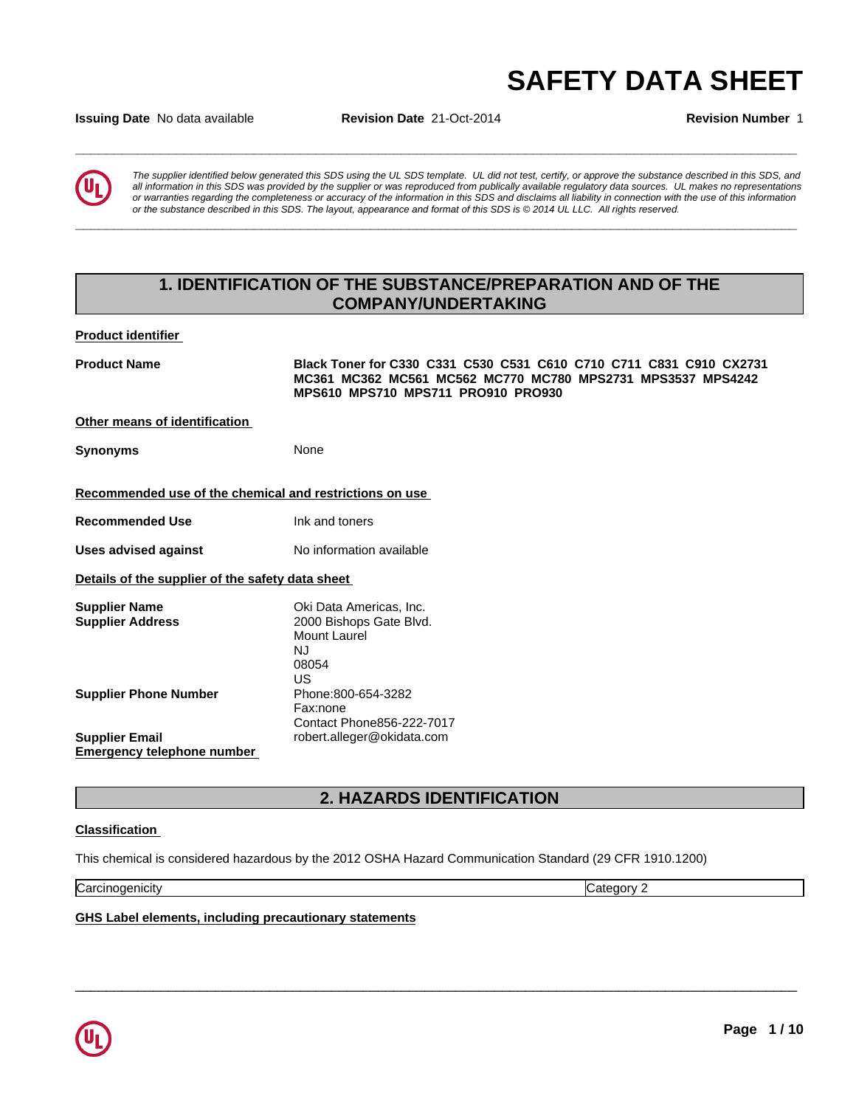# **SAFETY DATA SHEET**<br>Issuing Date No data available Revision Date 21-Oct-2014 Revision Number 1

**Issuing Date** No data available **Revision Date** 21-Oct-2014 **Revision Number** 1



*The supplier identified below generated this SDS using the UL SDS template. UL did not test, certify, or approve the substance described in this SDS, and all information in this SDS was provided by the supplier or was reproduced from publically available regulatory data sources. UL makes no representations or warranties regarding the completeness or accuracy of the information in this SDS and disclaims all liability in connection with the use of this information* or the substance described in this SDS. The layout, appearance and format of this SDS is @2014 UL LLC. All rights reserved.

**\_\_\_\_\_\_\_\_\_\_\_\_\_\_\_\_\_\_\_\_\_\_\_\_\_\_\_\_\_\_\_\_\_\_\_\_\_\_\_\_\_\_\_\_\_\_\_\_\_\_\_\_\_\_\_\_\_\_\_\_\_\_\_\_\_\_\_\_\_\_\_\_\_\_\_\_\_\_\_\_\_\_\_\_\_\_\_\_\_\_\_\_\_**

# **1. IDENTIFICATION OF THE SUBSTANCE/PREPARATION AND OF THE COMPANY/UNDERTAKING**

**Product identifier** 

**Product Name Black Toner for C330 C331 C530 C531 C610 C710 C711 C831 C910 CX2731 MC361 MC362 MC561 MC562 MC770 MC780 MPS2731 MPS3537 MPS4242 MPS610 MPS710 MPS711 PRO910 PRO930 Other means of identification Synonyms** None **Recommended use of the chemical and restrictions on use Recommended Use** Ink and toners **Uses advised against** No information available **Details of the supplier of the safety data sheet Supplier Name**<br> **Supplier Address**<br> **Supplier Address**<br> **COOO** Bishops Gate Blvd **Supplier Address** 2000 Bishops Gate Blvd. Mount Laurel NJ 08054 US **US Example 20 Supplier Phone Number** Phone:800-654-3282 Fax:none Contact Phone856-222-7017 **Supplier Email** robert.alleger@okidata.com **Emergency telephone number** 

# **2. HAZARDS IDENTIFICATION**

 $\overline{\phantom{a}}$  ,  $\overline{\phantom{a}}$  ,  $\overline{\phantom{a}}$  ,  $\overline{\phantom{a}}$  ,  $\overline{\phantom{a}}$  ,  $\overline{\phantom{a}}$  ,  $\overline{\phantom{a}}$  ,  $\overline{\phantom{a}}$  ,  $\overline{\phantom{a}}$  ,  $\overline{\phantom{a}}$  ,  $\overline{\phantom{a}}$  ,  $\overline{\phantom{a}}$  ,  $\overline{\phantom{a}}$  ,  $\overline{\phantom{a}}$  ,  $\overline{\phantom{a}}$  ,  $\overline{\phantom{a}}$ 

#### **Classification**

This chemical is considered hazardous by the 2012 OSHA Hazard Communication Standard (29 CFR 1910.1200)

**Carcinogenicity** Category 2

**GHS Label elements, including precautionary statements**

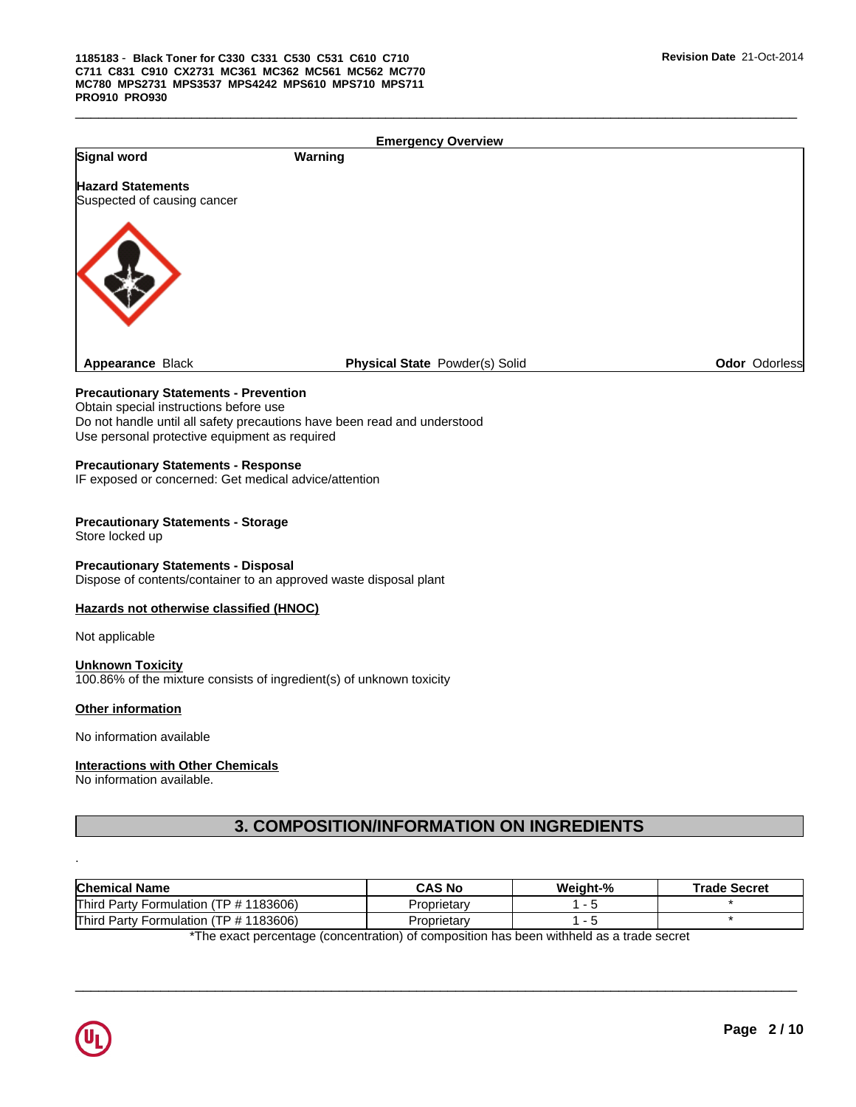|                                                                                                                                                                                                                     |         | <b>Emergency Overview</b>                 |                     |                     |
|---------------------------------------------------------------------------------------------------------------------------------------------------------------------------------------------------------------------|---------|-------------------------------------------|---------------------|---------------------|
| Signal word                                                                                                                                                                                                         | Warning |                                           |                     |                     |
| <b>Hazard Statements</b><br>Suspected of causing cancer                                                                                                                                                             |         |                                           |                     |                     |
|                                                                                                                                                                                                                     |         |                                           |                     |                     |
| Appearance Black                                                                                                                                                                                                    |         | Physical State Powder(s) Solid            |                     | Odor Odorless       |
| <b>Precautionary Statements - Prevention</b><br>Obtain special instructions before use<br>Do not handle until all safety precautions have been read and understood<br>Use personal protective equipment as required |         |                                           |                     |                     |
| <b>Precautionary Statements - Response</b><br>IF exposed or concerned: Get medical advice/attention                                                                                                                 |         |                                           |                     |                     |
| <b>Precautionary Statements - Storage</b><br>Store locked up                                                                                                                                                        |         |                                           |                     |                     |
| <b>Precautionary Statements - Disposal</b><br>Dispose of contents/container to an approved waste disposal plant                                                                                                     |         |                                           |                     |                     |
| Hazards not otherwise classified (HNOC)                                                                                                                                                                             |         |                                           |                     |                     |
| Not applicable                                                                                                                                                                                                      |         |                                           |                     |                     |
| <b>Unknown Toxicity</b><br>100.86% of the mixture consists of ingredient(s) of unknown toxicity                                                                                                                     |         |                                           |                     |                     |
| Other information                                                                                                                                                                                                   |         |                                           |                     |                     |
| No information available                                                                                                                                                                                            |         |                                           |                     |                     |
| <b>Interactions with Other Chemicals</b><br>No information available.                                                                                                                                               |         |                                           |                     |                     |
|                                                                                                                                                                                                                     |         | 3. COMPOSITION/INFORMATION ON INGREDIENTS |                     |                     |
|                                                                                                                                                                                                                     |         |                                           |                     |                     |
| <b>Chemical Name</b>                                                                                                                                                                                                |         | <b>CAS No</b>                             |                     |                     |
|                                                                                                                                                                                                                     |         | Proprietary                               | Weight-%<br>$1 - 5$ | <b>Trade Secret</b> |
| Third Party Formulation (TP # 1183606)                                                                                                                                                                              |         |                                           |                     |                     |

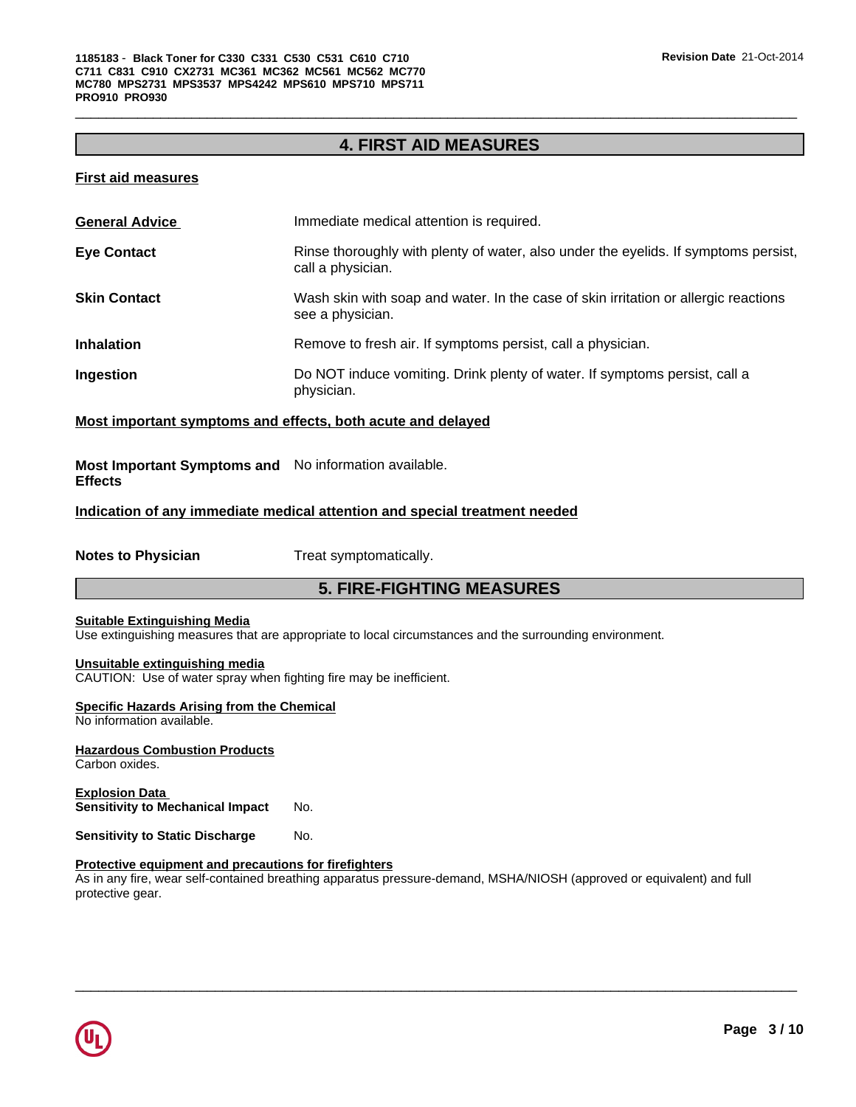# **4. FIRST AID MEASURES**

 $\overline{\phantom{a}}$  ,  $\overline{\phantom{a}}$  ,  $\overline{\phantom{a}}$  ,  $\overline{\phantom{a}}$  ,  $\overline{\phantom{a}}$  ,  $\overline{\phantom{a}}$  ,  $\overline{\phantom{a}}$  ,  $\overline{\phantom{a}}$  ,  $\overline{\phantom{a}}$  ,  $\overline{\phantom{a}}$  ,  $\overline{\phantom{a}}$  ,  $\overline{\phantom{a}}$  ,  $\overline{\phantom{a}}$  ,  $\overline{\phantom{a}}$  ,  $\overline{\phantom{a}}$  ,  $\overline{\phantom{a}}$ 

#### **First aid measures**

| <b>General Advice</b> | Immediate medical attention is required.                                                                 |
|-----------------------|----------------------------------------------------------------------------------------------------------|
| <b>Eye Contact</b>    | Rinse thoroughly with plenty of water, also under the eyelids. If symptoms persist,<br>call a physician. |
| <b>Skin Contact</b>   | Wash skin with soap and water. In the case of skin irritation or allergic reactions<br>see a physician.  |
| <b>Inhalation</b>     | Remove to fresh air. If symptoms persist, call a physician.                                              |
| Ingestion             | Do NOT induce vomiting. Drink plenty of water. If symptoms persist, call a<br>physician.                 |

#### **Most important symptoms and effects, both acute and delayed**

**Most Important Symptoms and** No information available. **Effects**

# **Indication of any immediate medical attention and special treatment needed**

**Notes to Physician** Treat symptomatically.

## **5. FIRE-FIGHTING MEASURES**

#### **Suitable Extinguishing Media**

Use extinguishing measures that are appropriate to local circumstances and the surrounding environment.

#### **Unsuitable extinguishing media**

CAUTION: Use of water spray when fighting fire may be inefficient.

### **Specific Hazards Arising from the Chemical**

No information available.

**Hazardous Combustion Products** Carbon oxides.

**Explosion Data Sensitivity to Mechanical Impact** No.

**Sensitivity to Static Discharge No.** 

#### **Protective equipment and precautions for firefighters**

As in any fire, wear self-contained breathing apparatus pressure-demand, MSHA/NIOSH (approved or equivalent) and full protective gear.

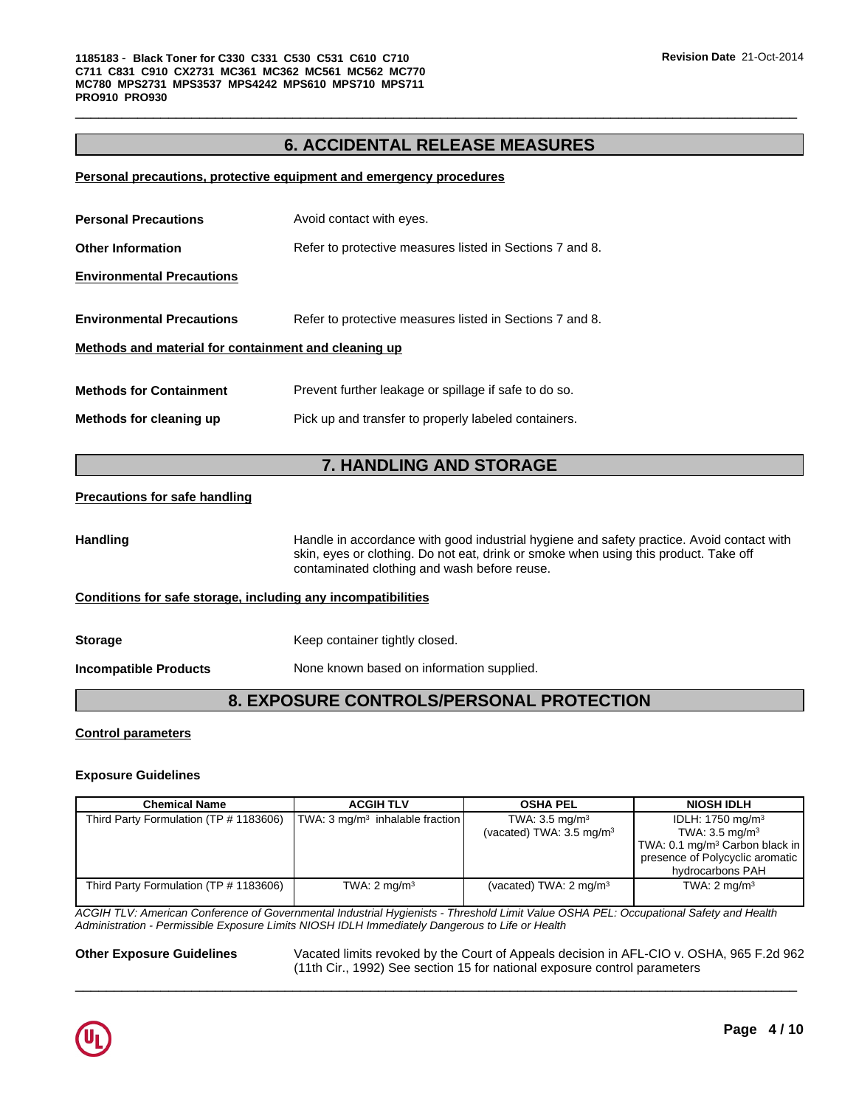# **6. ACCIDENTAL RELEASE MEASURES**

 $\overline{\phantom{a}}$  ,  $\overline{\phantom{a}}$  ,  $\overline{\phantom{a}}$  ,  $\overline{\phantom{a}}$  ,  $\overline{\phantom{a}}$  ,  $\overline{\phantom{a}}$  ,  $\overline{\phantom{a}}$  ,  $\overline{\phantom{a}}$  ,  $\overline{\phantom{a}}$  ,  $\overline{\phantom{a}}$  ,  $\overline{\phantom{a}}$  ,  $\overline{\phantom{a}}$  ,  $\overline{\phantom{a}}$  ,  $\overline{\phantom{a}}$  ,  $\overline{\phantom{a}}$  ,  $\overline{\phantom{a}}$ 

#### **Personal precautions, protective equipment and emergency procedures**

| <b>Personal Precautions</b>                          | Avoid contact with eyes.                                 |
|------------------------------------------------------|----------------------------------------------------------|
| <b>Other Information</b>                             | Refer to protective measures listed in Sections 7 and 8. |
| <b>Environmental Precautions</b>                     |                                                          |
| <b>Environmental Precautions</b>                     | Refer to protective measures listed in Sections 7 and 8. |
| Methods and material for containment and cleaning up |                                                          |
| <b>Methods for Containment</b>                       | Prevent further leakage or spillage if safe to do so.    |
| Methods for cleaning up                              | Pick up and transfer to properly labeled containers.     |

# **7. HANDLING AND STORAGE**

#### **Precautions for safe handling**

Handling **Handle in accordance with good industrial hygiene and safety practice. Avoid contact with** skin, eyes or clothing. Do not eat, drink or smoke when using this product. Take off contaminated clothing and wash before reuse.

#### **Conditions for safe storage, including any incompatibilities**

| <b>Storage</b> | Keep container t |
|----------------|------------------|
|                |                  |

tightly closed.

**Incompatible Products** None known based on information supplied.

**8. EXPOSURE CONTROLS/PERSONAL PROTECTION**

#### **Control parameters**

#### **Exposure Guidelines**

| Chemical Name                          | <b>ACGIH TLV</b>                                    | <b>OSHA PEL</b>                                                  | <b>NIOSH IDLH</b>                                                                                                                                                |
|----------------------------------------|-----------------------------------------------------|------------------------------------------------------------------|------------------------------------------------------------------------------------------------------------------------------------------------------------------|
| Third Party Formulation (TP # 1183606) | $\vert$ TWA: 3 mg/m <sup>3</sup> inhalable fraction | TWA: $3.5 \text{ mg/m}^3$<br>(vacated) TWA: $3.5 \text{ mg/m}^3$ | IDLH: $1750$ mg/m <sup>3</sup><br>TWA: $3.5 \text{ mg/m}^3$<br>TWA: 0.1 mg/m <sup>3</sup> Carbon black in<br>presence of Polycyclic aromatic<br>hydrocarbons PAH |
| Third Party Formulation (TP # 1183606) | TWA: $2 \text{ mg/m}^3$                             | (vacated) TWA: $2 \text{ mg/m}^3$                                | TWA: $2 \text{ mg/m}^3$                                                                                                                                          |

*ACGIH TLV: American Conference of Governmental Industrial Hygienists - Threshold Limit Value OSHA PEL: Occupational Safety and Health Administration - Permissible Exposure Limits NIOSH IDLH Immediately Dangerous to Life or Health*

**Other Exposure Guidelines** Vacated limits revoked by the Court of Appeals decision in AFL-CIO v. OSHA, 965 F.2d 962 (11th Cir., 1992) See section 15 for national exposure control parameters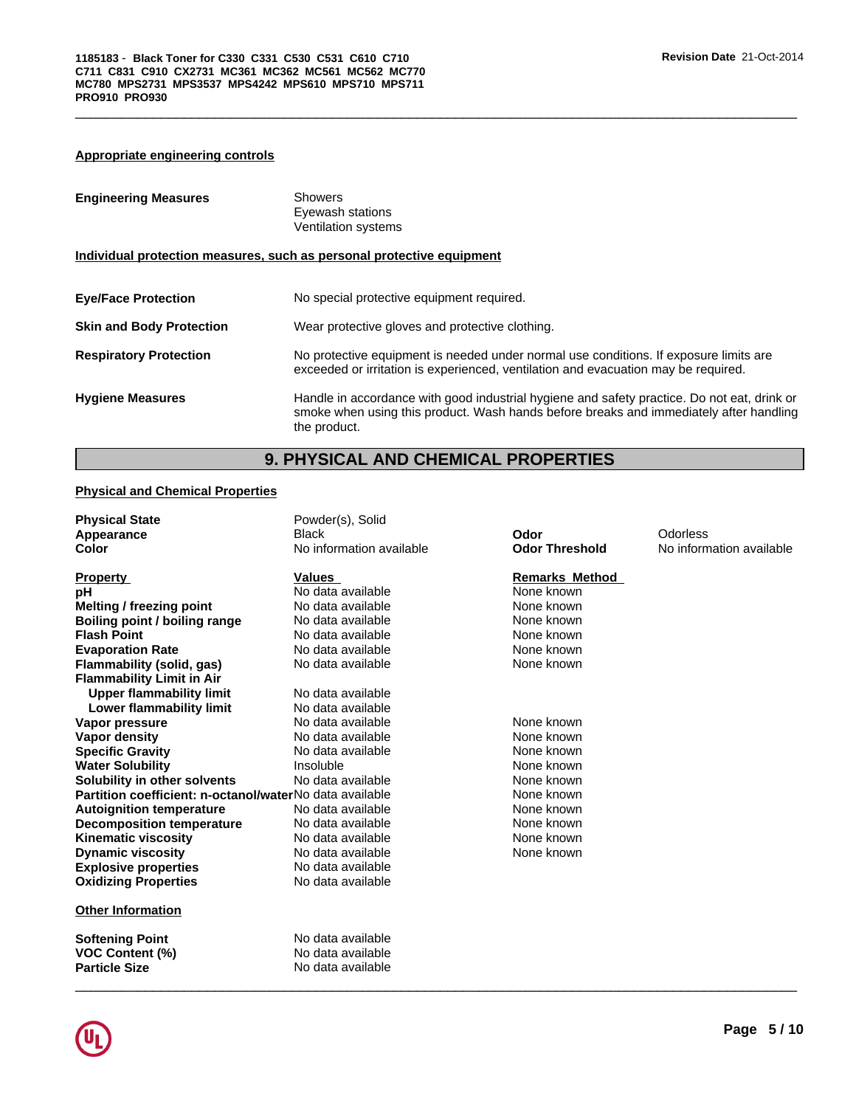#### **Appropriate engineering controls**

| <b>Engineering Measures</b>     | <b>Showers</b><br>Eyewash stations<br>Ventilation systems                                                                                                                                             |  |  |
|---------------------------------|-------------------------------------------------------------------------------------------------------------------------------------------------------------------------------------------------------|--|--|
|                                 | Individual protection measures, such as personal protective equipment                                                                                                                                 |  |  |
| <b>Eye/Face Protection</b>      | No special protective equipment required.                                                                                                                                                             |  |  |
| <b>Skin and Body Protection</b> | Wear protective gloves and protective clothing.                                                                                                                                                       |  |  |
| <b>Respiratory Protection</b>   | No protective equipment is needed under normal use conditions. If exposure limits are<br>exceeded or irritation is experienced, ventilation and evacuation may be required.                           |  |  |
| <b>Hygiene Measures</b>         | Handle in accordance with good industrial hygiene and safety practice. Do not eat, drink or<br>smoke when using this product. Wash hands before breaks and immediately after handling<br>the product. |  |  |

 $\overline{\phantom{a}}$  ,  $\overline{\phantom{a}}$  ,  $\overline{\phantom{a}}$  ,  $\overline{\phantom{a}}$  ,  $\overline{\phantom{a}}$  ,  $\overline{\phantom{a}}$  ,  $\overline{\phantom{a}}$  ,  $\overline{\phantom{a}}$  ,  $\overline{\phantom{a}}$  ,  $\overline{\phantom{a}}$  ,  $\overline{\phantom{a}}$  ,  $\overline{\phantom{a}}$  ,  $\overline{\phantom{a}}$  ,  $\overline{\phantom{a}}$  ,  $\overline{\phantom{a}}$  ,  $\overline{\phantom{a}}$ 

# **9. PHYSICAL AND CHEMICAL PROPERTIES**

#### **Physical and Chemical Properties**

| <b>Physical State</b>                                   | Powder(s), Solid         |                       |                          |
|---------------------------------------------------------|--------------------------|-----------------------|--------------------------|
| Appearance                                              | Black                    | Odor                  | Odorless                 |
| Color                                                   | No information available | <b>Odor Threshold</b> | No information available |
| <b>Property</b>                                         | Values                   | <b>Remarks Method</b> |                          |
| рH                                                      | No data available        | None known            |                          |
| Melting / freezing point                                | No data available        | None known            |                          |
| Boiling point / boiling range                           | No data available        | None known            |                          |
| <b>Flash Point</b>                                      | No data available        | None known            |                          |
| <b>Evaporation Rate</b>                                 | No data available        | None known            |                          |
| Flammability (solid, gas)                               | No data available        | None known            |                          |
| <b>Flammability Limit in Air</b>                        |                          |                       |                          |
| <b>Upper flammability limit</b>                         | No data available        |                       |                          |
| Lower flammability limit                                | No data available        |                       |                          |
| Vapor pressure                                          | No data available        | None known            |                          |
| <b>Vapor density</b>                                    | No data available        | None known            |                          |
| <b>Specific Gravity</b>                                 | No data available        | None known            |                          |
| <b>Water Solubility</b>                                 | Insoluble                | None known            |                          |
| Solubility in other solvents                            | No data available        | None known            |                          |
| Partition coefficient: n-octanol/waterNo data available |                          | None known            |                          |
| <b>Autoignition temperature</b>                         | No data available        | None known            |                          |
| <b>Decomposition temperature</b>                        | No data available        | None known            |                          |
| <b>Kinematic viscosity</b>                              | No data available        | None known            |                          |
| <b>Dynamic viscosity</b>                                | No data available        | None known            |                          |
| <b>Explosive properties</b>                             | No data available        |                       |                          |
| <b>Oxidizing Properties</b>                             | No data available        |                       |                          |
| <b>Other Information</b>                                |                          |                       |                          |
| <b>Softening Point</b>                                  | No data available        |                       |                          |
| <b>VOC Content (%)</b>                                  | No data available        |                       |                          |
| <b>Particle Size</b>                                    | No data available        |                       |                          |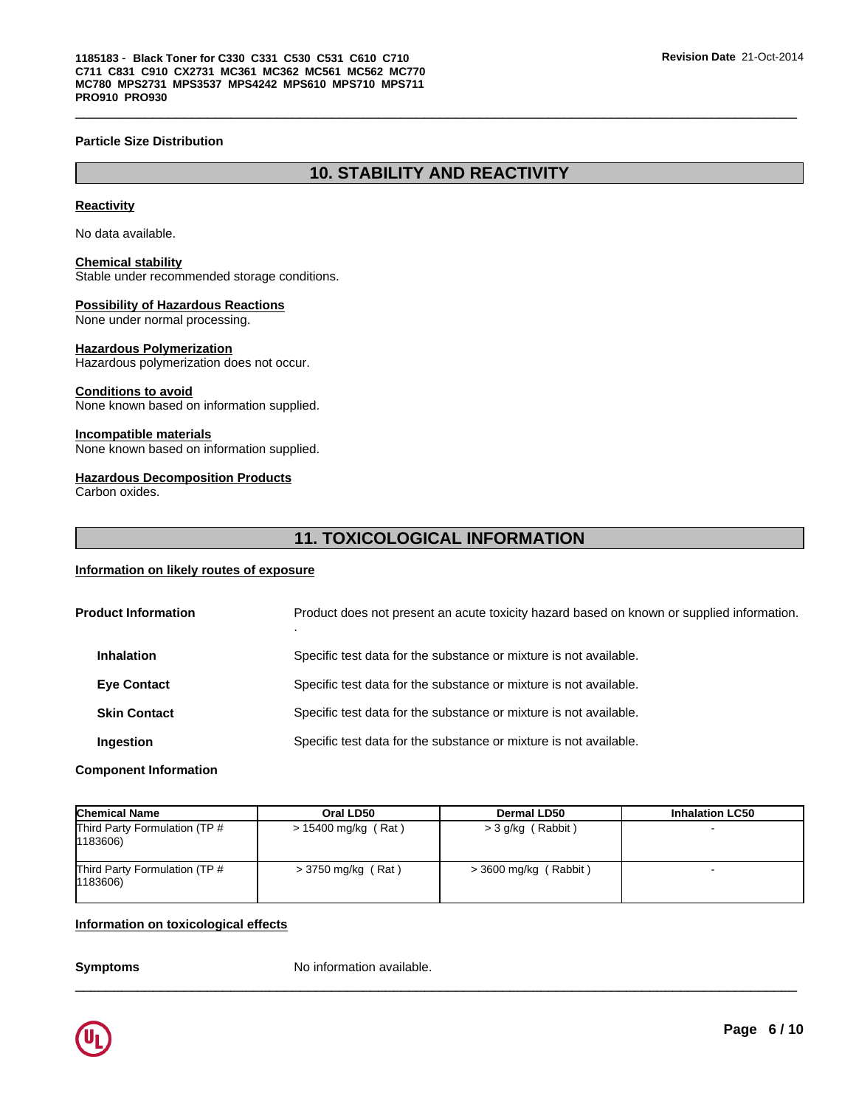#### **Particle Size Distribution**

# **10. STABILITY AND REACTIVITY**

 $\overline{\phantom{a}}$  ,  $\overline{\phantom{a}}$  ,  $\overline{\phantom{a}}$  ,  $\overline{\phantom{a}}$  ,  $\overline{\phantom{a}}$  ,  $\overline{\phantom{a}}$  ,  $\overline{\phantom{a}}$  ,  $\overline{\phantom{a}}$  ,  $\overline{\phantom{a}}$  ,  $\overline{\phantom{a}}$  ,  $\overline{\phantom{a}}$  ,  $\overline{\phantom{a}}$  ,  $\overline{\phantom{a}}$  ,  $\overline{\phantom{a}}$  ,  $\overline{\phantom{a}}$  ,  $\overline{\phantom{a}}$ 

#### **Reactivity**

No data available.

#### **Chemical stability**

Stable under recommended storage conditions.

## **Possibility of Hazardous Reactions**

None under normal processing.

#### **Hazardous Polymerization**

Hazardous polymerization does not occur.

#### **Conditions to avoid**

None known based on information supplied.

#### **Incompatible materials**

None known based on information supplied.

#### **Hazardous Decomposition Products**

Carbon oxides.

# **11. TOXICOLOGICAL INFORMATION**

#### **Information on likely routes of exposure**

| <b>Product Information</b> |                     | Product does not present an acute toxicity hazard based on known or supplied information. |
|----------------------------|---------------------|-------------------------------------------------------------------------------------------|
|                            | <b>Inhalation</b>   | Specific test data for the substance or mixture is not available.                         |
|                            | <b>Eye Contact</b>  | Specific test data for the substance or mixture is not available.                         |
|                            | <b>Skin Contact</b> | Specific test data for the substance or mixture is not available.                         |
|                            | Ingestion           | Specific test data for the substance or mixture is not available.                         |
|                            |                     |                                                                                           |

#### **Component Information**

| <b>Chemical Name</b>                               | Oral LD50            | <b>Dermal LD50</b>    | <b>Inhalation LC50</b> |
|----------------------------------------------------|----------------------|-----------------------|------------------------|
| Third Party Formulation (TP #<br>$ 1183606\rangle$ | > 15400 mg/kg (Rat)  | > 3 g/kg (Rabbit)     |                        |
| Third Party Formulation (TP #<br>$ 1183606\rangle$ | $>$ 3750 mg/kg (Rat) | > 3600 mg/kg (Rabbit) |                        |

 $\overline{\phantom{a}}$  ,  $\overline{\phantom{a}}$  ,  $\overline{\phantom{a}}$  ,  $\overline{\phantom{a}}$  ,  $\overline{\phantom{a}}$  ,  $\overline{\phantom{a}}$  ,  $\overline{\phantom{a}}$  ,  $\overline{\phantom{a}}$  ,  $\overline{\phantom{a}}$  ,  $\overline{\phantom{a}}$  ,  $\overline{\phantom{a}}$  ,  $\overline{\phantom{a}}$  ,  $\overline{\phantom{a}}$  ,  $\overline{\phantom{a}}$  ,  $\overline{\phantom{a}}$  ,  $\overline{\phantom{a}}$ 

#### **Information on toxicological effects**

**Symptoms** No information available.

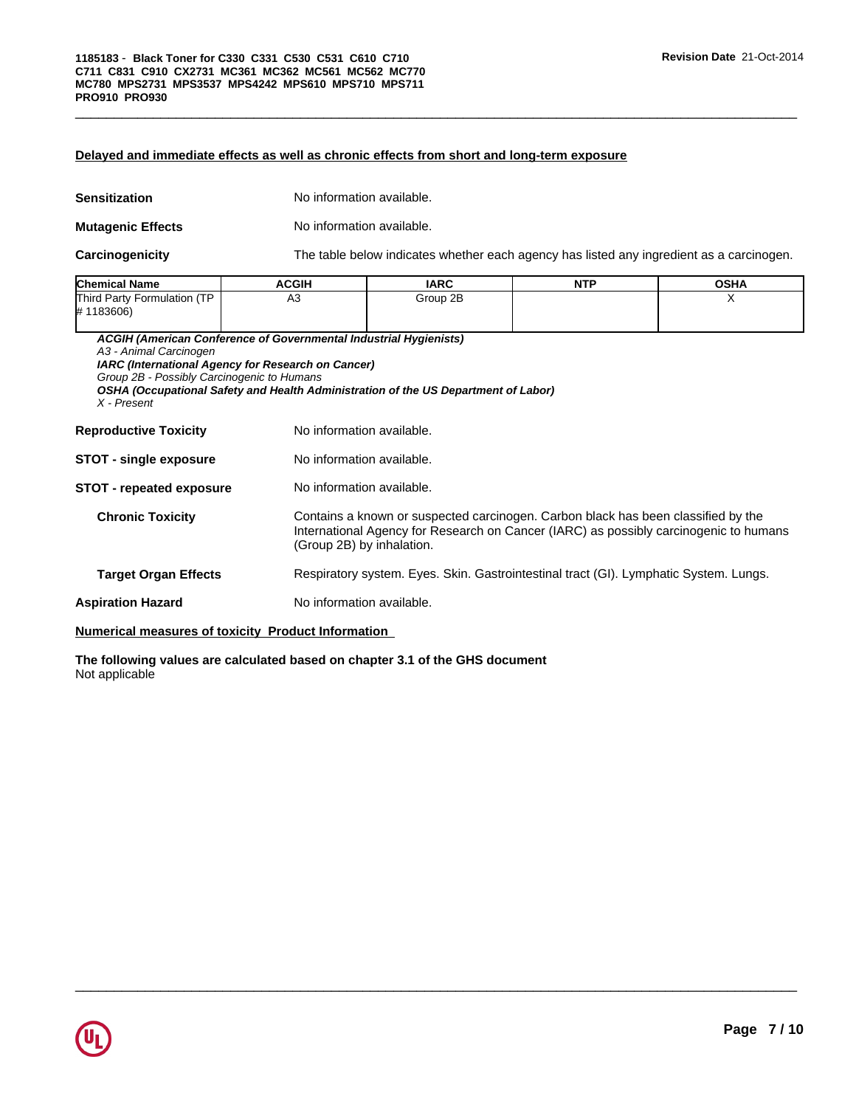#### **Delayed and immediate effects as well as chronic effects from short and long-term exposure**

| Sensitization            | No information available. |
|--------------------------|---------------------------|
| <b>Mutagenic Effects</b> | No information available. |

**Carcinogenicity** The table below indicates whether each agency has listed any ingredient as a carcinogen.

 $\overline{\phantom{a}}$  ,  $\overline{\phantom{a}}$  ,  $\overline{\phantom{a}}$  ,  $\overline{\phantom{a}}$  ,  $\overline{\phantom{a}}$  ,  $\overline{\phantom{a}}$  ,  $\overline{\phantom{a}}$  ,  $\overline{\phantom{a}}$  ,  $\overline{\phantom{a}}$  ,  $\overline{\phantom{a}}$  ,  $\overline{\phantom{a}}$  ,  $\overline{\phantom{a}}$  ,  $\overline{\phantom{a}}$  ,  $\overline{\phantom{a}}$  ,  $\overline{\phantom{a}}$  ,  $\overline{\phantom{a}}$ 

| <b>Chemical Name</b>                     | <b>ACGIH</b> | <b>IARC</b> | <b>NTP</b> | <b>OSHA</b> |
|------------------------------------------|--------------|-------------|------------|-------------|
| Third Party Formulation (TP<br>#1183606) | А3           | Group 2B    |            |             |

*ACGIH (American Conference of Governmental Industrial Hygienists)*

*A3 - Animal Carcinogen*

*IARC (International Agency for Research on Cancer)*

*Group 2B - Possibly Carcinogenic to Humans*

*OSHA (Occupational Safety and Health Administration of the US Department of Labor)*

*X - Present*

| <b>Reproductive Toxicity</b>    | No information available.                                                                                                                                                                               |
|---------------------------------|---------------------------------------------------------------------------------------------------------------------------------------------------------------------------------------------------------|
| <b>STOT - single exposure</b>   | No information available.                                                                                                                                                                               |
| <b>STOT - repeated exposure</b> | No information available.                                                                                                                                                                               |
| <b>Chronic Toxicity</b>         | Contains a known or suspected carcinogen. Carbon black has been classified by the<br>International Agency for Research on Cancer (IARC) as possibly carcinogenic to humans<br>(Group 2B) by inhalation. |
| <b>Target Organ Effects</b>     | Respiratory system. Eyes. Skin. Gastrointestinal tract (GI). Lymphatic System. Lungs.                                                                                                                   |
| <b>Aspiration Hazard</b>        | No information available.                                                                                                                                                                               |

#### **Numerical measures of toxicity Product Information**

**The following values are calculated based on chapter 3.1 of the GHS document** Not applicable

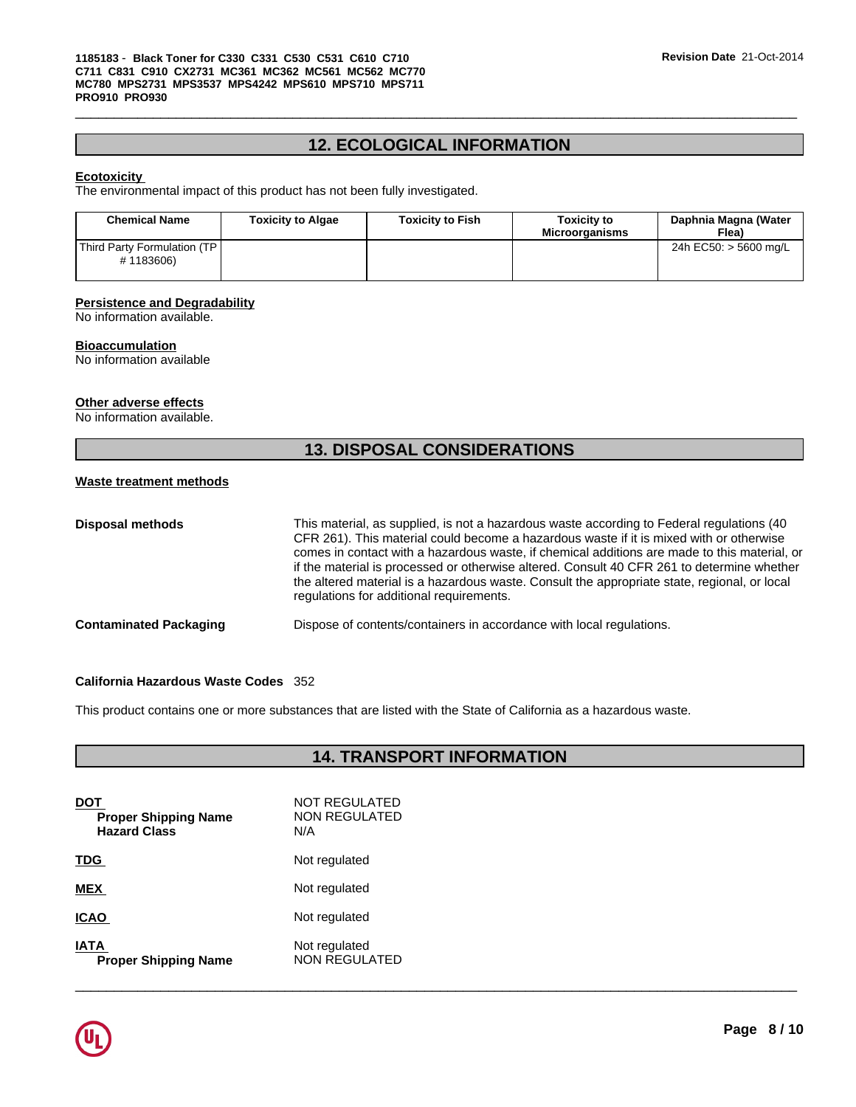# **12. ECOLOGICAL INFORMATION**

 $\overline{\phantom{a}}$  ,  $\overline{\phantom{a}}$  ,  $\overline{\phantom{a}}$  ,  $\overline{\phantom{a}}$  ,  $\overline{\phantom{a}}$  ,  $\overline{\phantom{a}}$  ,  $\overline{\phantom{a}}$  ,  $\overline{\phantom{a}}$  ,  $\overline{\phantom{a}}$  ,  $\overline{\phantom{a}}$  ,  $\overline{\phantom{a}}$  ,  $\overline{\phantom{a}}$  ,  $\overline{\phantom{a}}$  ,  $\overline{\phantom{a}}$  ,  $\overline{\phantom{a}}$  ,  $\overline{\phantom{a}}$ 

#### **Ecotoxicity**

The environmental impact of this product has not been fully investigated.

| <b>Chemical Name</b>                      | <b>Toxicity to Algae</b> | <b>Toxicity to Fish</b> | Toxicitv to<br><b>Microorganisms</b> | Daphnia Magna (Water<br>Flea) |  |
|-------------------------------------------|--------------------------|-------------------------|--------------------------------------|-------------------------------|--|
| Third Party Formulation (TP)<br>#1183606) |                          |                         |                                      | 24h EC50: > 5600 mg/L         |  |

# **Persistence and Degradability**

No information available.

#### **Bioaccumulation**

No information available

#### **Other adverse effects**

No information available.

# **13. DISPOSAL CONSIDERATIONS**

#### **Waste treatment methods**

| Disposal methods              | This material, as supplied, is not a hazardous waste according to Federal regulations (40<br>CFR 261). This material could become a hazardous waste if it is mixed with or otherwise<br>comes in contact with a hazardous waste, if chemical additions are made to this material, or<br>if the material is processed or otherwise altered. Consult 40 CFR 261 to determine whether<br>the altered material is a hazardous waste. Consult the appropriate state, regional, or local<br>regulations for additional requirements. |
|-------------------------------|--------------------------------------------------------------------------------------------------------------------------------------------------------------------------------------------------------------------------------------------------------------------------------------------------------------------------------------------------------------------------------------------------------------------------------------------------------------------------------------------------------------------------------|
| <b>Contaminated Packaging</b> | Dispose of contents/containers in accordance with local regulations.                                                                                                                                                                                                                                                                                                                                                                                                                                                           |

#### **California Hazardous Waste Codes** 352

This product contains one or more substances that are listed with the State of California as a hazardous waste.

# **14. TRANSPORT INFORMATION**

| DOT<br><b>Proper Shipping Name</b><br><b>Hazard Class</b> | NOT REGULATED<br>NON REGULATED<br>N/A |
|-----------------------------------------------------------|---------------------------------------|
| <b>TDG</b>                                                | Not regulated                         |
| <b>MEX</b>                                                | Not regulated                         |
| <b>ICAO</b>                                               | Not regulated                         |
| <b>IATA</b><br><b>Proper Shipping Name</b>                | Not regulated<br><b>NON REGULATED</b> |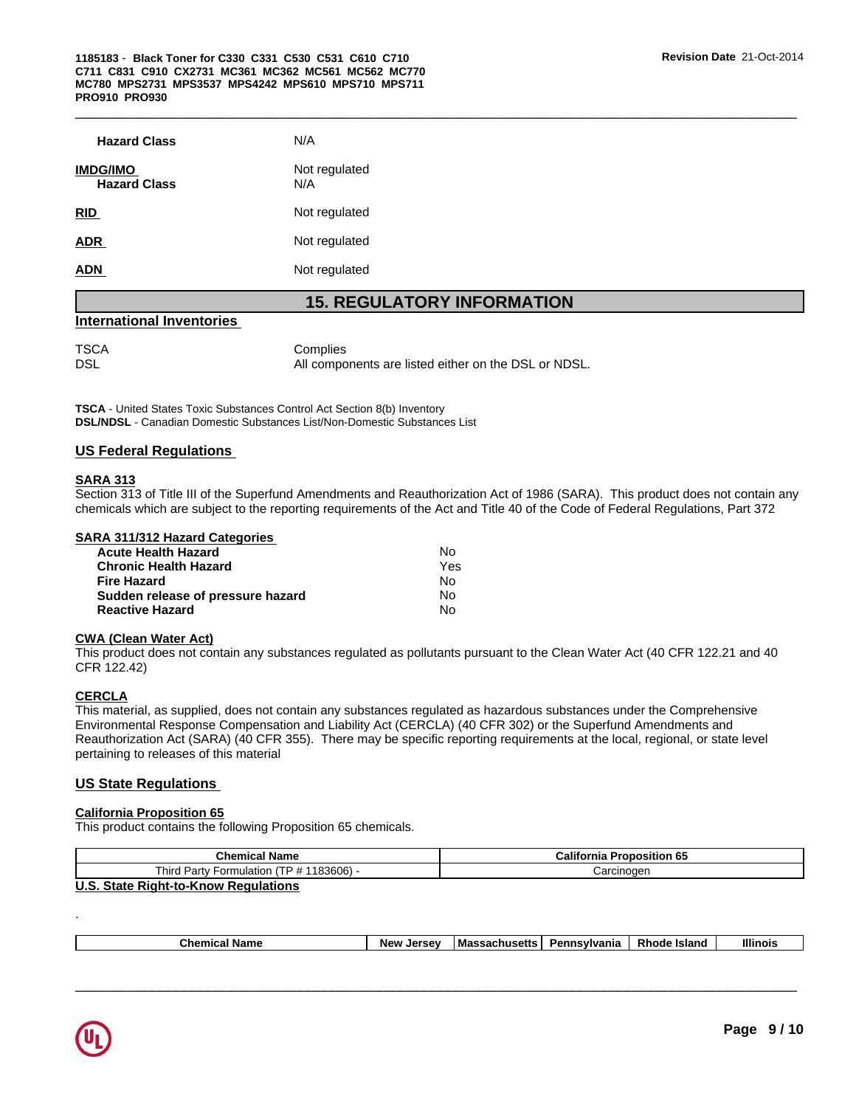| <b>Hazard Class</b>                    | N/A                  |
|----------------------------------------|----------------------|
| <b>IMDG/IMO</b><br><b>Hazard Class</b> | Not regulated<br>N/A |
| <b>RID</b>                             | Not regulated        |
| <b>ADR</b>                             | Not regulated        |
| <b>ADN</b>                             | Not regulated        |
|                                        |                      |

# **15. REGULATORY INFORMATION**

## **International Inventories**

TSCA Complies DSL **DISL All components are listed either on the DSL or NDSL**.

**TSCA** - United States Toxic Substances Control Act Section 8(b) Inventory **DSL/NDSL** - Canadian Domestic Substances List/Non-Domestic Substances List

#### **US Federal Regulations**

#### **SARA 313**

Section 313 of Title III of the Superfund Amendments and Reauthorization Act of 1986 (SARA). This product does not contain any chemicals which are subject to the reporting requirements of the Act and Title 40 of the Code of Federal Regulations, Part 372

#### **SARA 311/312 Hazard Categories**

| Acute Health Hazard               | No. |  |
|-----------------------------------|-----|--|
| Chronic Health Hazard             | Yes |  |
| Fire Hazard                       | No. |  |
| Sudden release of pressure hazard | No. |  |
| <b>Reactive Hazard</b>            | N٥  |  |

#### **CWA (Clean Water Act)**

This product does not contain any substances regulated as pollutants pursuant to the Clean Water Act (40 CFR 122.21 and 40 CFR 122.42)

#### **CERCLA**

This material, as supplied, does not contain any substances regulated as hazardous substances under the Comprehensive Environmental Response Compensation and Liability Act (CERCLA) (40 CFR 302) or the Superfund Amendments and Reauthorization Act (SARA) (40 CFR 355). There may be specific reporting requirements at the local, regional, or state level pertaining to releases of this material

#### **US State Regulations**

#### **California Proposition 65**

This product contains the following Proposition 65 chemicals.

| <b>Chemical Name</b>                                   | California<br><b>AF</b><br><b>Proposition 65</b> |
|--------------------------------------------------------|--------------------------------------------------|
| (TP # 1183606) -<br>Third,<br>' Partv .<br>Formulation | Carcinogen                                       |
| $\mathbf{H} \cdot \mathbf{A}$                          |                                                  |

**U.S. State Right-to-Know Regulations**

|  |  | -<br>. .<br>un<br>. | <b>Larcay</b><br><b>Nev</b><br>--- | Massar | nsvivania<br>в. | - .<br><b>Island</b> | <b>Illinois</b> |
|--|--|---------------------|------------------------------------|--------|-----------------|----------------------|-----------------|
|--|--|---------------------|------------------------------------|--------|-----------------|----------------------|-----------------|

 $\overline{\phantom{a}}$  ,  $\overline{\phantom{a}}$  ,  $\overline{\phantom{a}}$  ,  $\overline{\phantom{a}}$  ,  $\overline{\phantom{a}}$  ,  $\overline{\phantom{a}}$  ,  $\overline{\phantom{a}}$  ,  $\overline{\phantom{a}}$  ,  $\overline{\phantom{a}}$  ,  $\overline{\phantom{a}}$  ,  $\overline{\phantom{a}}$  ,  $\overline{\phantom{a}}$  ,  $\overline{\phantom{a}}$  ,  $\overline{\phantom{a}}$  ,  $\overline{\phantom{a}}$  ,  $\overline{\phantom{a}}$ 



.